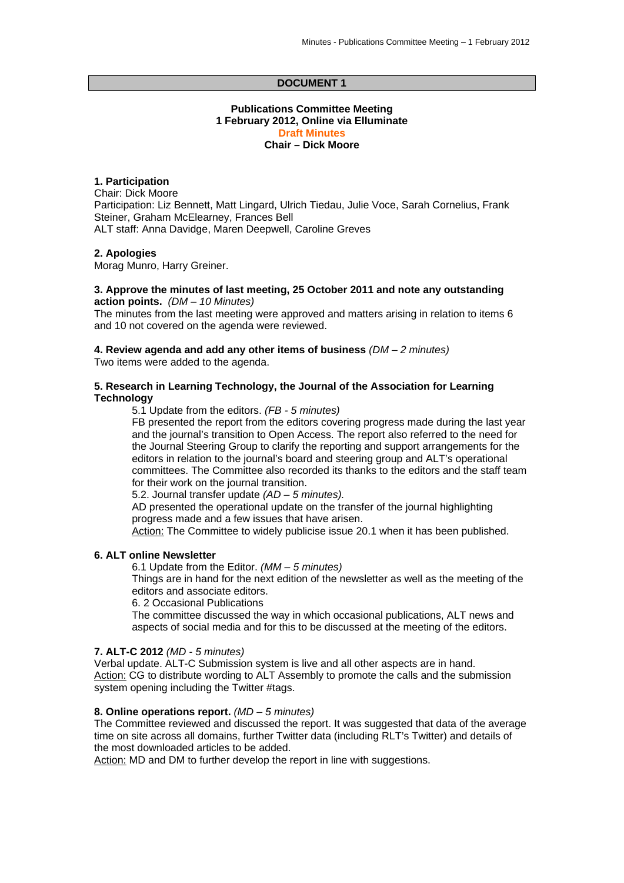### **DOCUMENT 1**

## **Publications Committee Meeting 1 February 2012, Online via Elluminate Draft Minutes Chair – Dick Moore**

### **1. Participation**

Chair: Dick Moore Participation: Liz Bennett, Matt Lingard, Ulrich Tiedau, Julie Voce, Sarah Cornelius, Frank Steiner, Graham McElearney, Frances Bell ALT staff: Anna Davidge, Maren Deepwell, Caroline Greves

#### **2. Apologies**

Morag Munro, Harry Greiner.

#### **3. Approve the minutes of last meeting, 25 October 2011 and note any outstanding action points.** *(DM – 10 Minutes)*

The minutes from the last meeting were approved and matters arising in relation to items 6 and 10 not covered on the agenda were reviewed.

**4. Review agenda and add any other items of business** *(DM – 2 minutes)*  Two items were added to the agenda.

#### **5. Research in Learning Technology, the Journal of the Association for Learning Technology**

5.1 Update from the editors. *(FB - 5 minutes)* 

FB presented the report from the editors covering progress made during the last year and the journal's transition to Open Access. The report also referred to the need for the Journal Steering Group to clarify the reporting and support arrangements for the editors in relation to the journal's board and steering group and ALT's operational committees. The Committee also recorded its thanks to the editors and the staff team for their work on the journal transition.

5.2. Journal transfer update *(AD – 5 minutes).* 

AD presented the operational update on the transfer of the journal highlighting progress made and a few issues that have arisen.

Action: The Committee to widely publicise issue 20.1 when it has been published.

### **6. ALT online Newsletter**

6.1 Update from the Editor. *(MM – 5 minutes)* 

Things are in hand for the next edition of the newsletter as well as the meeting of the editors and associate editors.

6. 2 Occasional Publications

The committee discussed the way in which occasional publications, ALT news and aspects of social media and for this to be discussed at the meeting of the editors.

### **7. ALT-C 2012** *(MD - 5 minutes)*

Verbal update. ALT-C Submission system is live and all other aspects are in hand. Action: CG to distribute wording to ALT Assembly to promote the calls and the submission system opening including the Twitter #tags.

#### **8. Online operations report.** *(MD – 5 minutes)*

The Committee reviewed and discussed the report. It was suggested that data of the average time on site across all domains, further Twitter data (including RLT's Twitter) and details of the most downloaded articles to be added.

Action: MD and DM to further develop the report in line with suggestions.